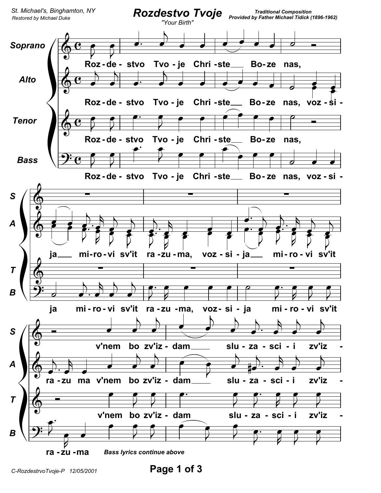

Page 1 of 3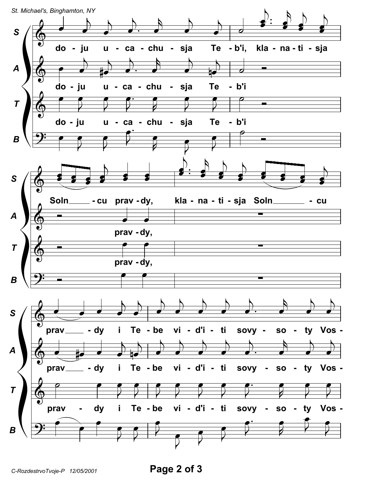

C-RozdestrvoTvoje-P 12/05/2001